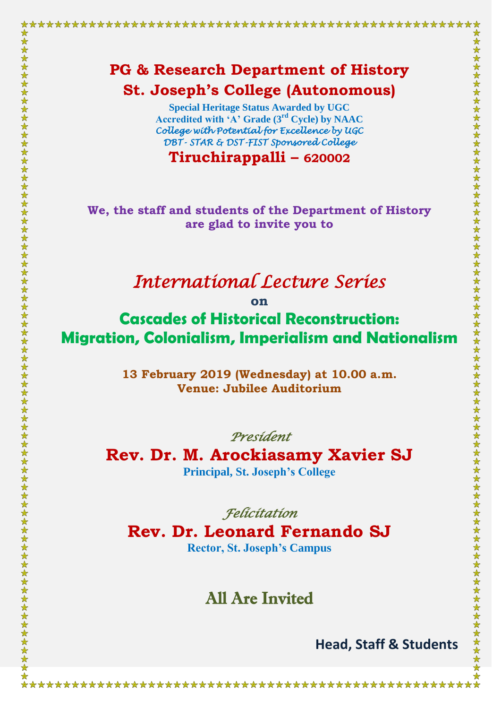**Special Heritage Status Awarded by UGC Accredited with 'A' Grade (3rd Cycle) by NAAC** *College with Potential for Excellence by UGC DBT- STAR & DST-FIST Sponsored College* 

**Tiruchirappalli – 620002**

**We, the staff and students of the Department of History are glad to invite you to**

## *International Lecture Series*

**on**

**Cascades of Historical Reconstruction: Migration, Colonialism, Imperialism and Nationalism**

> **13 February 2019 (Wednesday) at 10.00 a.m. Venue: Jubilee Auditorium**

*President* 

**Rev. Dr. M. Arockiasamy Xavier SJ Principal, St. Joseph's College**

*Felicitation* 

**Rev. Dr. Leonard Fernando SJ Rector, St. Joseph's Campus**

## All Are Invited

**Head, Staff & Students**